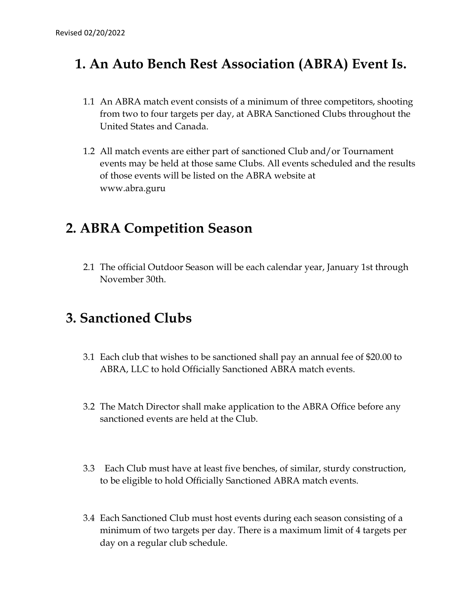- ed 02/20/2022<br> **1. An Auto Bench Rest Association (ABRA) Event Is.**<br>
1.1 An ABRA match event consists of a minimum of three competitors, shooting<br>
from two to four targets per day, at ABRA Sanctioned Clubs throughout the<br> 202120/2022<br> **1.1 An Auto Bench Rest Association (ABRA) Event Is.**<br>
1.1 An ABRA match event consists of a minimum of three competitors, shooting<br>
from two to four targets per day, at ABRA Sanctioned Clubs throughout the<br>
U from two to four targets per day, at ABRA Sanctioned Clubs throughout the United States and Canada.
- 20/20/2022<br> **An Auto Bench Rest Association (ABRA) Event Is.**<br>
1.1 An ABRA match event consists of a minimum of three competitors, shooting<br>
from two to four targets per day, at ABRA Sanctioned Clubs throughout the<br>
United events may be held at those same Clubs. All events scheduled and the results of those events will be listed on the ABRA website at www.abra.guru **1.** An Auto Bench Rest Association (ABRA) Event I:<br>
1.1 An ABRA match event consists of a minimum of three competitors, show<br>
from two to four targets per day, at ABRA Sanctioned Clubs throughout<br>
United States and Canad 2.1 An ABRA match event consists of a minimum of three competitors, shooting<br>
from two to four targets per day, at ABRA Sanctioned Clubs throughout the<br>
United States and Canada.<br>
2.2 All match events are either part of sa 2. ABRA Competition Season<br>
3. Sanctioned Club and/<br>
3. Sanctioned Club and/<br>
4. Sanction of those events will be listed on the ABRA website at<br>
4. Www.abra.guru<br>
2. ABRA Competition Season<br>
2.1 The official Outdoor Season 3.1 The official Outdoor Season will be last wishes to be ABRA website at<br>2.1 The official Outdoor Season will be each calendar year, January 1st through<br>3.1 Each club that wishes to be sanctioned shall pay an annual fee o

November 30th. **3.1 The official Outdoor Season will be each calendar year, January 1st through<br>
November 30th.<br>
3.1 Each club that wishes to be sanctioned shall pay an annual fee of \$20.00 to<br>
ABRA, LLC to hold Officially Sanctioned ABR** 

- ABRA, LLC to hold Officially Sanctioned ABRA match events.
- sanctioned events are held at the Club.
- November 30th.<br>
3.1 Each club that wishes to be sanctioned shall pay an annual fee of \$20.00 to<br>
ABRA, I.I.C to hold Officially Sanctioned ABRA match events.<br>
3.2 The Match Director shall make application to the ABRA Offic to be eligible to hold Officially Sanctioned ABRA match events.
- 3.1 Each club that wishes to be sanctioned shall pay an annual fee of \$20.00 to ABRA, LLC to hold Officially Sanctioned ABRA match events.<br>3.2 The Match Director shall make application to the ABRA Office before any sanctio minimum of two targets per day. There is a maximum limit of 4 targets per day on a regular club schedule.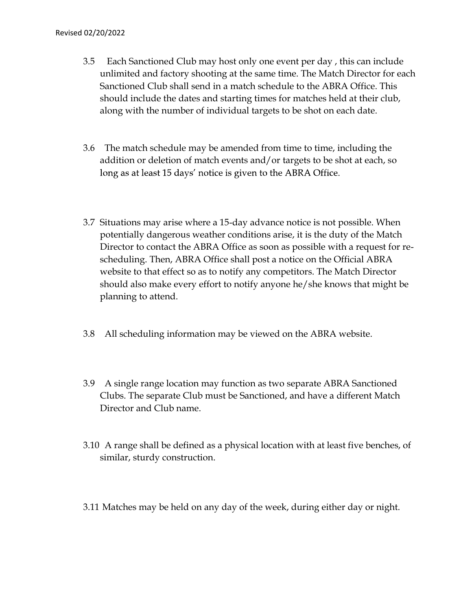## Revised 02/20/2022

- 02/20/2022<br>3.5 Each Sanctioned Club may host only one event per day , this can include<br>unlimited and factory shooting at the same time. The Match Director for each<br>Sanctioned Club shall send in a match schedule to the ABRA unlimited and factory shooting at the same time. The Match Director for each Sanctioned Club shall send in a match schedule to the ABRA Office. This should include the dates and starting times for matches held at their club, along with the number of individual targets to be shot on each date. 22/20/2022<br>3.5 Each Sanctioned Club may host only one event per day , this can include<br>unlimited and factory shooting at the same time. The Match Director for each<br>5 Sanctioned Club shall send in a match schedule to the AB
- addition or deletion of match events and/or targets to be shot at each, so
- 02/20/2022<br>
3.5 Each Sanctioned Club may host only one event per day , this can include<br>
unlimited and factory shooting at the same time. The Match Director for each<br>
Sanctioned Club shall send in a match schedule to the A potentially dangerous weather conditions arise, it is the duty of the Match Director to contact the ABRA Office as soon as possible with a request for rescheduling. Then, ABRA Office shall post a notice on the Official ABRA website to that effect so as to notify any competitors. The Match Director should also make every effort to notify anyone he/she knows that might be planning to attend. 3.6 The match schedule may be amended from time to time, including the<br>addition or deletion of match events and/or targets to be shot at each, so<br>long as at least 15 days' notice is given to the ABRA Office.<br>3.7 Situation 3.7 Situations may arise where a 15-day advance notice is not possible. When<br>potentially dangerous weather conditions arise, it is the duty of the Match<br>Director to contact the ABRA Office as soon as possible with a reque
- 
- Clubs. The separate Club must be Sanctioned, and have a different Match Director and Club name.
- 3.10 A range shall be defined as a physical location with at least five benches, of similar, sturdy construction.
- 3.11 Matches may be held on any day of the week, during either day or night.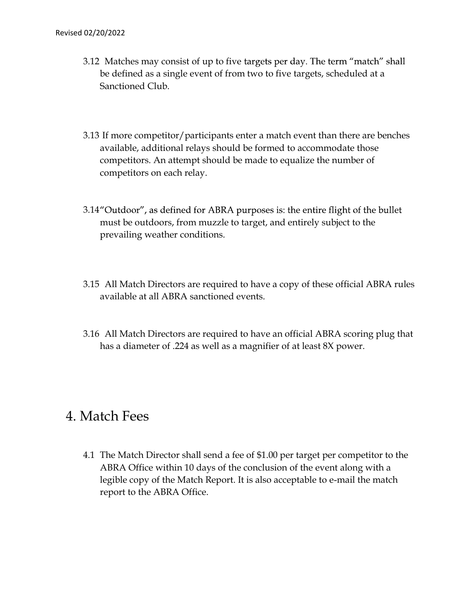- 02/20/2022<br>3.12 Matches may consist of up to five targets per day. The term "n<br>be defined as a single event of from two to five targets, schedul<br>Sanctioned Club. be defined as a single event of from two to five targets, scheduled at a Sanctioned Club.
- 3.13 If more competitor/participants enter a match event than there are benches available, additional relays should be formed to accommodate those competitors. An attempt should be made to equalize the number of competitors on each relay.
- 3.14 "Outdoor", as defined for ABRA purposes is: the entire flight of the bullet must be outdoors, from muzzle to target, and entirely subject to the prevailing weather conditions.
- 3.15 All Match Directors are required to have a copy of these official ABRA rules available at all ABRA sanctioned events.
- 3.16 All Match Directors are required to have an official ABRA scoring plug that has a diameter of .224 as well as a magnifier of at least 8X power.

prevailing weather conditions.<br>
3.15 All Match Directors are required to have a copy of these<br>
available at all ABRA sanctioned events.<br>
3.16 All Match Directors are required to have an official ABR<br>
has a diameter of .224 3.15 All Match Directors are required to have a copy of these official ABRA rules<br>available at all ABRA sanctioned events.<br>3.16 All Match Directors are required to have an official ABRA scoring plug that<br>has a diameter of ABRA Office within 10 days of the conclusion of the event along with a legible copy of the Match Report. It is also acceptable to e-mail the match report to the ABRA Office.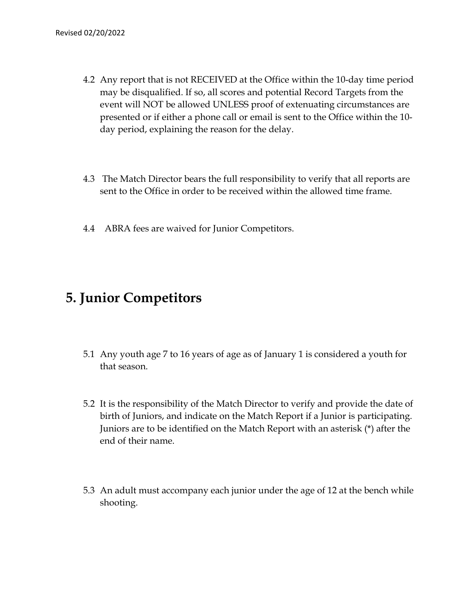- 02/20/2022<br>4.2 Any report that is not RECEIVED at the Office within the 10-day time period<br>may be disqualified. If so, all scores and potential Record Targets from the<br>event will NOT be allowed UNLESS proof of extenuating may be disqualified. If so, all scores and potential Record Targets from the event will NOT be allowed UNLESS proof of extenuating circumstances are presented or if either a phone call or email is sent to the Office within the 10 day period, explaining the reason for the delay. 02/20/2022<br>
4.2 Any report that is not RECEIVED at the Office within the 10-day time period<br>
may be disqualified. If so, all scores and potential Record Targets from the<br>
event will NOT be allowed UNLESS proof of extenuati 4.2 Any report that is not RECEIVED at the Office within the 10-d<br>may be disqualified. If so, all scores and potential Record Targe<br>event will NOT be allowed UNLESS proof of extenuating circu<br>presented or if either a phone Free the oriental oriental contracts proton contracts and the presented or if either a phone call or email is sent to the C<br>day period, explaining the reason for the delay.<br>4.3 The Match Director bears the full responsibil
	- sent to the Office in order to be received within the allowed time frame.
	-

- 5.1 Any youth age 7 to 16 years of age as of January 1 is considered a youth for the difference as of January 1<br>5.1 Any youth age 7 to 16 years of age as of January 1 is considered a youth for<br>that season.<br>5.2 It is the re that season.
- 5.1 Any youth age 7 to 16 years of age as of January 1 is considered a youth for<br>5.1 Any youth age 7 to 16 years of age as of January 1 is considered a youth for<br>5.2 It is the responsibility of the Match Director to verify birth of Juniors, and indicate on the Match Report if a Junior is participating. Juniors are to be identified on the Match Report with an asterisk (\*) after the end of their name. 5.1 Any youth age 7 to 16 years of age as of January 1 is considered a youth for that season.<br>52 It is the responsibility of the Match Director to verify and provide the date of birth of Juniors, and indicate on the Match
- shooting.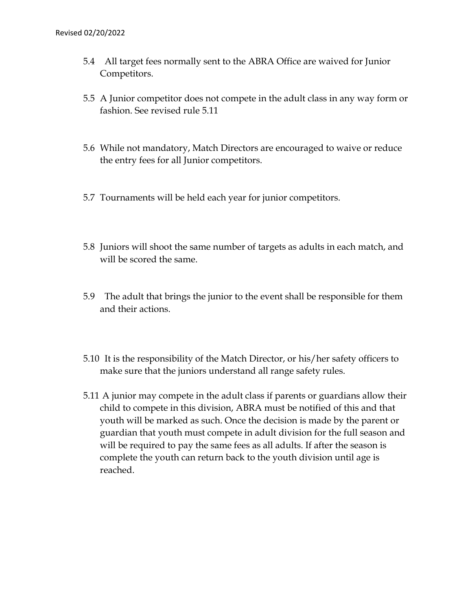- Competitors.
- 92/20/2022<br>5.4 All target fees normally sent to the ABRA Office are waived for Junior<br>6.5 A Junior competitor does not compete in the adult class in any way form or<br>5.5 A Junior competitor does not compete in the adult cla 02/20/2022<br>5.4 All target fees normally sent to the ABRA Office are waived for Junior<br>Competitors.<br>5.5 A Junior competitor does not compete in the adult class in any way form or<br>fashion. See revised rule 5.11<br>5.6 While not fashion. See revised rule 5.11
- 22/20/2022<br>5.4 All target fees normally sent to the ABRA Office are waived for Junior<br>Competitors.<br>5.5 A Junior competitor does not compete in the adult class in any way form or<br>fashion. See revised rule 5.11<br>5.6 While not the entry fees for all Junior competitors. 02/20/2022<br>
5.4 All target fees normally sent to the ABRA Office are waived for Junior<br>
Competitors.<br>
5.5 A Junior competitor does not compete in the adult class in any way form o<br>
fashion. See revised rule 5.11<br>
5.6 While 5.4 All target fees normally sent to the ABRA Office are waived for Junior<br>
Competitors.<br>
5.5 A Junior competitor does not compete in the adult class in any way form or<br>
fashion. See revised rule 5.11<br>
5.6 While not mandat fashion. See revised rule 5.11<br>5.6 While not mandatory, Match Directors are encouraged to waive or reduce<br>the entry fees for all Junior competitors.<br>5.7 Tournaments will be held each year for junior competitors.<br>5.8 Junio
- 
- will be scored the same.
- and their actions.
- 5.10 It is the responsibility of the Match Director, or his/her safety officers to make sure that the juniors understand all range safety rules.
- 5.11 A junior may compete in the adult class if parents or guardians allow their child to compete in this division, ABRA must be notified of this and that youth will be marked as such. Once the decision is made by the parent or guardian that youth must compete in adult division for the full season and will be required to pay the same fees as all adults. If after the season is complete the youth can return back to the youth division until age is reached.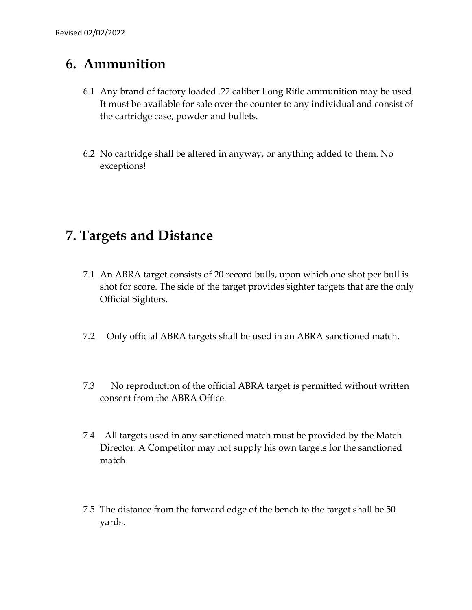- vised 02/02/2022<br> **6. Ammunition**<br>
6.1 Any brand of factory loaded .22 caliber Long Rifle ammunit<br>
It must be available for sale over the counter to any indivi<br>
the cartridge case, powder and bullets. **Ammunition**<br>6.1 Any brand of factory loaded .22 caliber Long Rifle ammunition may be used.<br>It must be available for sale over the counter to any individual and consist of<br>the cartridge case, powder and bullets. It must be available for sale over the counter to any individual and consist of the cartridge case, powder and bullets. 6.1 Any brand of factory loaded .22 caliber Long Rifle ammunition may be used.<br>
It must be available for sale over the counter to any individual and consist of<br>
the cartridge case, powder and bullets.<br>
6.2 No cartridge sha **6. Ammunition**<br>
6.1 Any brand of factory loaded .22 caliber Long Rifle ammu<br>
1t must be available for sale over the counter to any indiv<br>
the cartridge case, powder and bullets.<br>
6.2 No cartridge shall be altered in anywa 6.1 Any brand of factory loaded .22 caliber Long Rifle ammunition may be used.<br>
It must be available for sale over the counter to any individual and consist of<br>
the cartridge case, powder and bullets.<br>
6.2 No cartridge sh
	- exceptions!

- shot for score. The side of the target provides sighter targets that are the only Official Sighters. 6.2 No cartridge shall be altered in anyway, or anything added to them. No<br>exceptions!<br> **Targets and Distance**<br>
7.1 An ABRA target consists of 20 record bulls, upon which one shot per bull is<br>
shot for score. The side of The ABRA target consists of 20 record bulls, upon which one shot per bull is<br>shot for score. The side of the target provides sighter targets that are the only<br>Official Sighters.<br>T.2 Only official ABRA targets shall be used 7.1 An ABRA target consists of 20 record bulls, upon which one shot per bull is shot for score. The side of the target provides sighter targets that are the only Official Sighters.<br>7.2 Only official ABRA targets shall be u
- 
- consent from the ABRA Office.
- Director. A Competitor may not supply his own targets for the sanctioned match 7.2 Only official ABRA targets shall be used in an ABRA sanctioned match.<br>
7.3 No reproduction of the official ABRA target is permitted without written<br>
consent from the ABRA Office.<br>
7.4 All targets used in any sanctioned
- yards.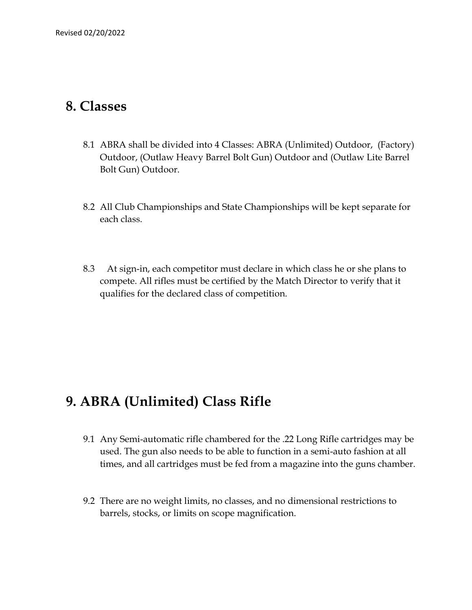- vised 02/20/2022<br>**8. Classes**<br>8.1 ABRA shall be divided into 4 Classes: ABRA (Unlimited)<br>Outdoor, (Outlaw Heavy Barrel Bolt Gun) Outdoor and ( 02/20/2022<br>8.1 ABRA shall be divided into 4 Classes: ABRA (Unlimited) Outdoor, (Factory)<br>Outdoor, (Outlaw Heavy Barrel Bolt Gun) Outdoor and (Outlaw Lite Barrel<br>Bolt Gun) Outdoor. Outdoor, (Outlaw Heavy Barrel Bolt Gun) Outdoor and (Outlaw Lite Barrel Bolt Gun) Outdoor. 02/20/2022<br>8.1 ABRA shall be divided into 4 Classes: ABRA (Unlimited) Outdoor, (Factory)<br>0utdoor, (Outlaw Heavy Barrel Bolt Gun) Outdoor and (Outlaw Lite Barrel<br>8.1 All Club Championships and State Championships will be ke **Classes**<br>8.1 ABRA shall be divided into 4 Classes: ABRA (Unlimited) Outdoor, (Factory)<br>0utdoor, (Outlaw Heavy Barrel Bolt Cun) Outdoor and (Outlaw Lite Barrel<br>80t Gun) Outdoor.<br>8.2 All Club Championships and State Champio
	- each class.
- compete. All rifles must be certified by the Match Director to verify that it qualifies for the declared class of competition. 9.1 Any Semi-automatic rifle chambered for the .22 Long Rifle cartridges m<br>
19.1 Apple 20.1 Apple 10.1 Apple 10.1 Apple 10.1 Apple 10.1 Apple 10.1 Apple 10.1 Apple 10.1 Apple 10.1 Apple 10.1 Apple 10.1 Apple 10.1 Apple 10.

- 8.3 At sign-in, each competitor must declare in which class he or she plans to<br>compete. All rifles must be certified by the Match Director to verify that it<br>qualifies for the declared class of competition.<br>**ABRA (Unlimited** At sign-in, each competitor must declare in which class he or she plans to<br>compete. All rifles must be certified by the Match Director to verify that it<br>qualifies for the declared class of competition.<br><br>**RA (Unlimited) Cla** times, and all cartridges must be fed from a magazine into the guns chamber. **ABRA (Unlimited) Class Rifle**<br>
9.1 Any Semi-automatic rifle chambered for the .22 Long Rifle cartridges may be<br>
used. The gun also needs to be able to function in a semi-auto fashion at all<br>
times, and all cartridges must
- barrels, stocks, or limits on scope magnification.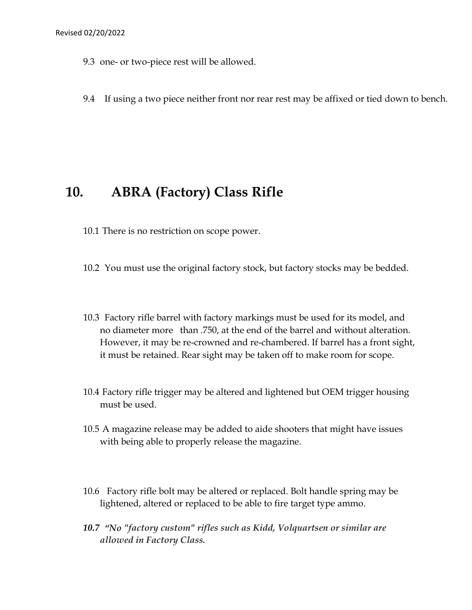- 9.3 one- or two-piece rest will be allowed.
- 02/20/2022<br>9.3 one- or two-piece rest will be allowed.<br>9.4 If using a two piece neither front nor rear rest may be affixed or tied down to bench. vised 02/20/2022<br>
9.3 one- or two-piece rest will be allowed.<br>
9.4 If using a two piece neither front nor rear rest may be affixed or tied dow<br> **10. ABRA (Factory) Class Rifle**<br>
10.1 There is no restriction on scope power.

- 10.1 There is no restriction on scope power.
- 10.2 You must use the original factory stock, but factory stocks may be bedded.
- 10.3 Factory rifle barrel with factory markings must be used for its model, and no diameter more than .750, at the end of the barrel and without alteration. However, it may be re-crowned and re-chambered. If barrel has a front sight, it must be retained. Rear sight may be taken off to make room for scope.
- 10.4 Factory rifle trigger may be altered and lightened but OEM trigger housing must be used.
- 10.5 A magazine release may be added to aide shooters that might have issues with being able to properly release the magazine.
- 10.6 Factory rifle bolt may be altered or replaced. Bolt handle spring may be lightened, altered or replaced to be able to fire target type ammo.
- 10.7 "factory custom" rifles such as Kidd, Volquartsen or similar are allowed in Factory Class.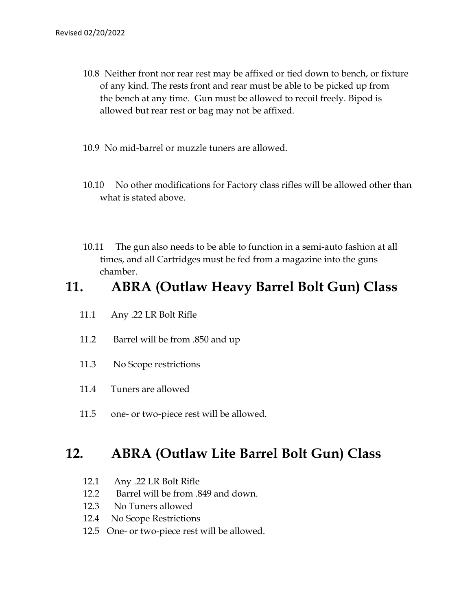- 10.8 Neither front nor rear rest may be affixed or tied down to bench, or fixture of any kind. The rests front and rear must be able to be picked up from the bench at any time. Gun must be allowed to recoil freely. Bipod is allowed but rear rest or bag may not be affixed. 02/20/2022<br>
10.8 Neither front nor rear rest may be affixed or tied down to bench, or fixture<br>
of any kind. The rests front and rear must be able to be picked up from<br>
the bench at any time. Gun must be allowed to recoil 10.8 Neither front nor rear rest may be affixed or tied down to bench, or fixture<br>of any kind. The rests front and rear must be able to be picked up from<br>the bench at any time. Cun must be allowed to recoil freely. Bipod i
- 10.9 No mid-barrel or muzzle tuners are allowed.
- what is stated above.
- times, and all Cartridges must be fed from a magazine into the guns chamber. the bench at any time. Gun must be allowed to recoil freely. Bipod is<br>allowed but rear rest or bag may not be affixed.<br>10.9 No mid-barrel or muzzle tuners are allowed.<br>10.10 No other modifications for Factory class rifles

- 11.1 Any .22 LR Bolt Rifle
- 11.2 Barrel will be from .850 and up
- 11.3 No Scope restrictions
- 11.4 Tuners are allowed
- 11.5 one- or two-piece rest will be allowed.

# The model of the Magnetic Bolt Gun) Class<br>
11.1 ABRA (Outlaw Heavy Barrel Bolt Gun) Class<br>
11.1 Any .22 LR Bolt Rifle<br>
11.3 No Scope restrictions<br>
11.4 Tuners are allowed<br>
11.5 one- or two-piece rest will be allowed.<br> **12**

- 12.1 Any .22 LR Bolt Rifle
- 12.2 Barrel will be from .849 and down.
- 12.3 No Tuners allowed
- 12.4 No Scope Restrictions
- 12.5 One- or two-piece rest will be allowed.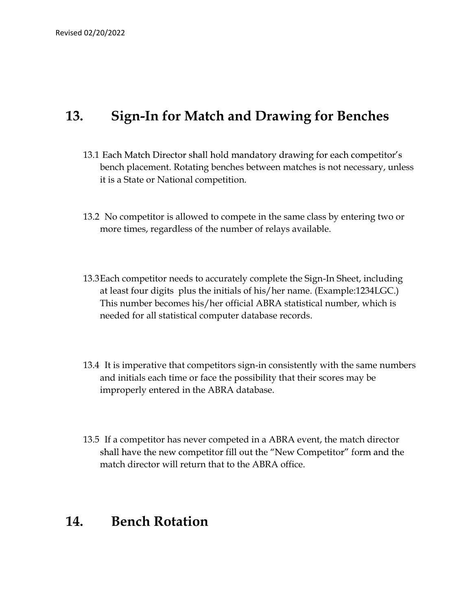- ised 02/20/2022<br>
13. Sign-In for Match and Drawing for Benches<br>
13.1 Each Match Director shall hold mandatory drawing for each competitor's<br>
bench placement. Rotating benches between matches is not necessary, unless 13.1 Each Match Director shall hold mandatory drawing for each competitor's bench placement. Rotating benches between matches is not necessary, unless it is a State or National competition.
	- 13.2 No competitor is allowed to compete in the same class by entering two or more times, regardless of the number of relays available.
	- 13.3Each competitor needs to accurately complete the Sign-In Sheet, including at least four digits plus the initials of his/her name. (Example:1234LGC.) This number becomes his/her official ABRA statistical number, which is needed for all statistical computer database records.
	- 13.4 It is imperative that competitors sign-in consistently with the same numbers and initials each time or face the possibility that their scores may be improperly entered in the ABRA database.
- 13.5 If a competitor has never competed in a ABRA event, the match director match director will return that to the ABRA office. 13.4 It is imperative that competitors sign-in consistently with the same and initials each time or face the possibility that their scores may improperly entered in the ABRA database.<br>
13.5 If a competitor has never compet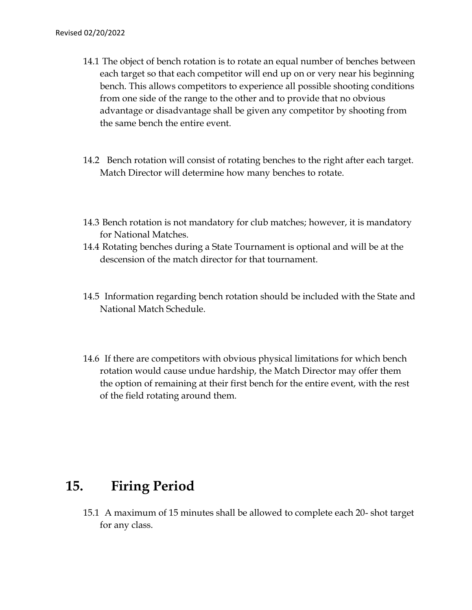- 02/20/2022<br>14.1 The object of bench rotation is to rotate an equal number of benches between<br>each target so that each competitor will end up on or very near his beginning<br>bench. This allows competitors to experience all po each target so that each competitor will end up on or very near his beginning bench. This allows competitors to experience all possible shooting conditions from one side of the range to the other and to provide that no obvious advantage or disadvantage shall be given any competitor by shooting from the same bench the entire event.
- 14.2 Bench rotation will consist of rotating benches to the right after each target. Match Director will determine how many benches to rotate.
- 14.3 Bench rotation is not mandatory for club matches; however, it is mandatory for National Matches.
- 14.4 Rotating benches during a State Tournament is optional and will be at the descension of the match director for that tournament.
- 14.5 Information regarding bench rotation should be included with the State and National Match Schedule.
- 14.6 If there are competitors with obvious physical limitations for which bench rotation would cause undue hardship, the Match Director may offer them the option of remaining at their first bench for the entire event, with the rest of the field rotating around them. 14.5 Information regarding bench rotation should be included with<br>
National Match Schedule.<br>
14.6 If there are competitors with obvious physical limitations for w<br>
14.6 If there are competitors with obvious physical limita

15.1 A maximum of 15 minutes shall be allowed to complete each 20- shot target for any class.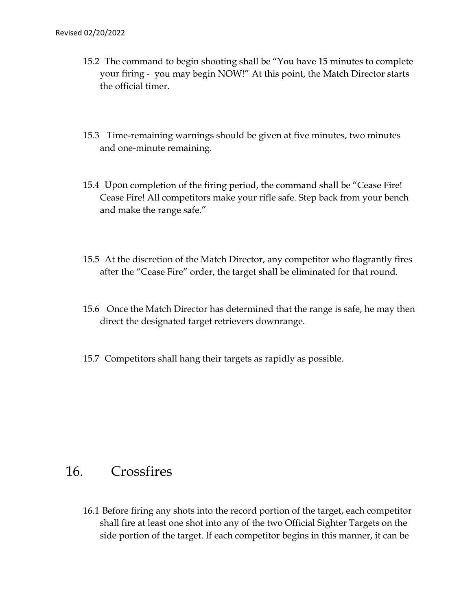- 02/20/2022<br>15.2 The command to begin shooting shall be "You have 15 minute<br>your firing you may begin NOW!" At this point, the Match D<br>the official timer. your firing - you may begin NOW!" At this point, the Match Director starts the official timer.
- 15.3 Time-remaining warnings should be given at five minutes, two minutes and one-minute remaining.
- 15.4 Upon completion of the firing period, the command shall be "Cease Fire! Cease Fire! All competitors make your rifle safe. Step back from your bench and make the range safe."
- 15.5 At the discretion of the Match Director, any competitor who flagrantly fires after the "Cease Fire" order, the target shall be eliminated for that round.
- 15.6 Once the Match Director has determined that the range is safe, he may then direct the designated target retrievers downrange.
- 15.7 Competitors shall hang their targets as rapidly as possible.

15.6 Once the Match Director has determined that the range is safe,<br>direct the designated target retrievers downrange.<br>15.7 Competitors shall hang their targets as rapidly as possible.<br>16. Crossfires<br>16.1 Before firing any 16.1 Before firing any shots into the record portion of the target, each competitor shall fire at least one shot into any of the two Official Sighter Targets on the side portion of the target. If each competitor begins in this manner, it can be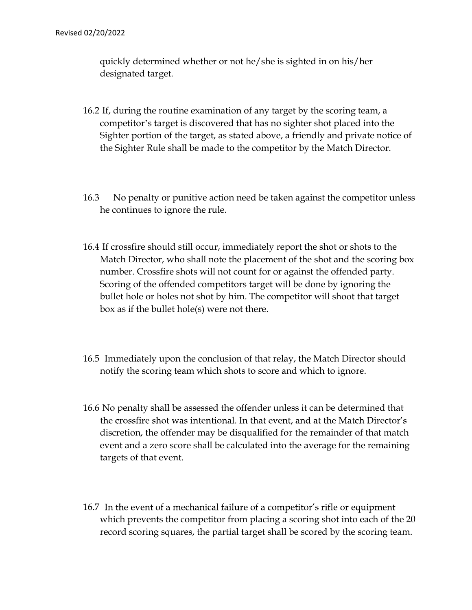quickly determined whether or not he/she is sighted in on his/her designated target.

- 16.2 If, during the routine examination of any target by the scoring team, a competitor's target is discovered that has no sighter shot placed into the Sighter portion of the target, as stated above, a friendly and private notice of the Sighter Rule shall be made to the competitor by the Match Director.
- 16.3 No penalty or punitive action need be taken against the competitor unless he continues to ignore the rule.
- 16.4 If crossfire should still occur, immediately report the shot or shots to the Match Director, who shall note the placement of the shot and the scoring box number. Crossfire shots will not count for or against the offended party. Scoring of the offended competitors target will be done by ignoring the bullet hole or holes not shot by him. The competitor will shoot that target box as if the bullet hole(s) were not there.
- 16.5 Immediately upon the conclusion of that relay, the Match Director should notify the scoring team which shots to score and which to ignore.
- 16.6 No penalty shall be assessed the offender unless it can be determined that the crossfire shot was intentional. In that event, and at the Match Director's discretion, the offender may be disqualified for the remainder of that match event and a zero score shall be calculated into the average for the remaining targets of that event.
- 16.7 In the event of a mechanical failure of a competitor's rifle or equipment which prevents the competitor from placing a scoring shot into each of the 20 record scoring squares, the partial target shall be scored by the scoring team.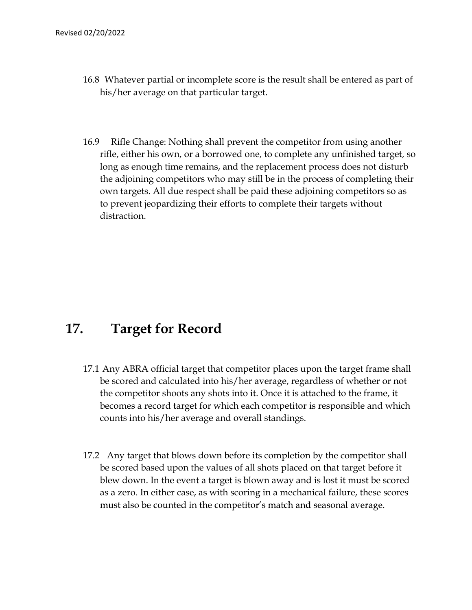- 16.8 Whatever partial or incomplete score is the result shall be entered as part of his/her average on that particular target.
- 16.9 Rifle Change: Nothing shall prevent the competitor from using another rifle, either his own, or a borrowed one, to complete any unfinished target, so long as enough time remains, and the replacement process does not disturb the adjoining competitors who may still be in the process of completing their own targets. All due respect shall be paid these adjoining competitors so as to prevent jeopardizing their efforts to complete their targets without distraction. 16.9 Kifle Change: Nothing shall prevent the competitor from using<br>
16.9 Kifle, either his own, or a borrowed one, to complete any unfinishe<br>
long as enough time remains, and the replacement process does<br>
the adjoining com

- 17.1 Any ABRA official target that competitor places upon the target frame shall be scored and calculated into his/her average, regardless of whether or not the competitor shoots any shots into it. Once it is attached to the frame, it becomes a record target for which each competitor is responsible and which counts into his/her average and overall standings.
- 17.2 Any target that blows down before its completion by the competitor shall be scored based upon the values of all shots placed on that target before it blew down. In the event a target is blown away and is lost it must be scored as a zero. In either case, as with scoring in a mechanical failure, these scores must also be counted in the competitor's match and seasonal average.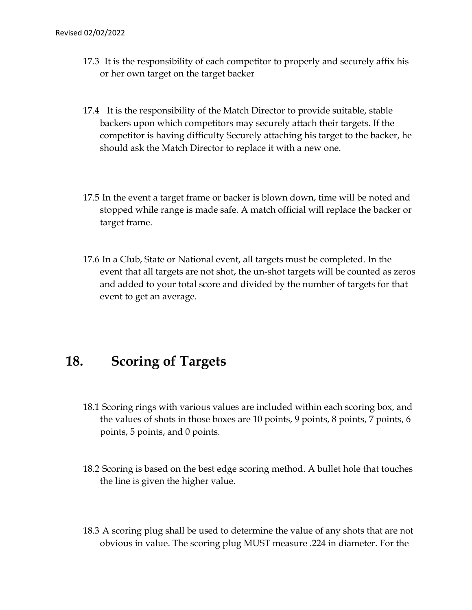- 17.3 It is the responsibility of each competitor to properly and securely affix his<br>or her own target on the target backer<br>17.4 It is the responsibility of the Match Director to provide suitable, stable or her own target on the target backer
- 17.4 It is the responsibility of the Match Director to provide suitable, stable backers upon which competitors may securely attach their targets. If the competitor is having difficulty Securely attaching his target to the backer, he should ask the Match Director to replace it with a new one.
- 17.5 In the event a target frame or backer is blown down, time will be noted and stopped while range is made safe. A match official will replace the backer or target frame.
- 17.6 In a Club, State or National event, all targets must be completed. In the event that all targets are not shot, the un-shot targets will be counted as zeros and added to your total score and divided by the number of targets for that event to get an average. 17.5 In the event a target frame or backer is blown down, time will b<br>stopped while range is made safe. A match official will replace the<br>raget frame.<br>17.6 In a Club, State or National event, all targets must be completed<br>

- 18.1 Scoring rings with various values are included within each scoring box, and the values of shots in those boxes are 10 points, 9 points, 8 points, 7 points, 6 points, 5 points, and 0 points.
- 18.2 Scoring is based on the best edge scoring method. A bullet hole that touches the line is given the higher value.
- 18.3 A scoring plug shall be used to determine the value of any shots that are not obvious in value. The scoring plug MUST measure .224 in diameter. For the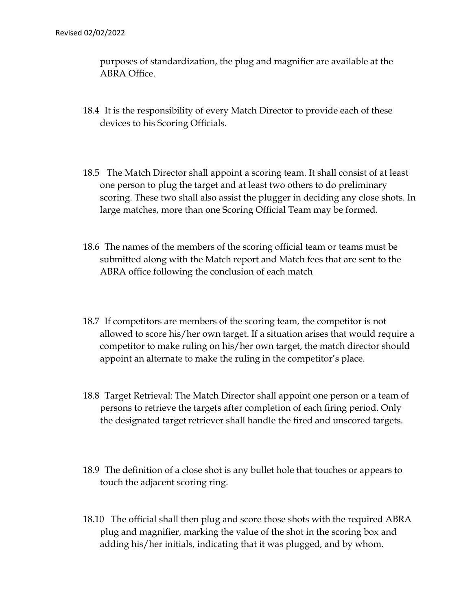2/2022<br>purposes of standardization, the plug and magnifier are available at the<br>ABRA Office.<br>It is the responsibility of every Match Director to provide each of these ABRA Office.

- 18.4 It is the responsibility of every Match Director to provide each of these devices to his Scoring Officials.
- 18.5 The Match Director shall appoint a scoring team. It shall consist of at least one person to plug the target and at least two others to do preliminary scoring. These two shall also assist the plugger in deciding any close shots. In large matches, more than one Scoring Official Team may be formed.
- 18.6 The names of the members of the scoring official team or teams must be submitted along with the Match report and Match fees that are sent to the ABRA office following the conclusion of each match
- 18.7 If competitors are members of the scoring team, the competitor is not allowed to score his/her own target. If a situation arises that would require a competitor to make ruling on his/her own target, the match director should allowed to score his/her own target. If a situation arises that would require a competitor to make ruling on his/her own target, the match director should appoint an alternate to make the ruling in the competitor's place.<br>
- 18.8 Target Retrieval: The Match Director shall appoint one person or a team of persons to retrieve the targets after completion of each firing period. Only the designated target retriever shall handle the fired and unscored targets.
- 18.9 The definition of a close shot is any bullet hole that touches or appears to touch the adjacent scoring ring.
- plug and magnifier, marking the value of the shot in the scoring box and adding his/her initials, indicating that it was plugged, and by whom.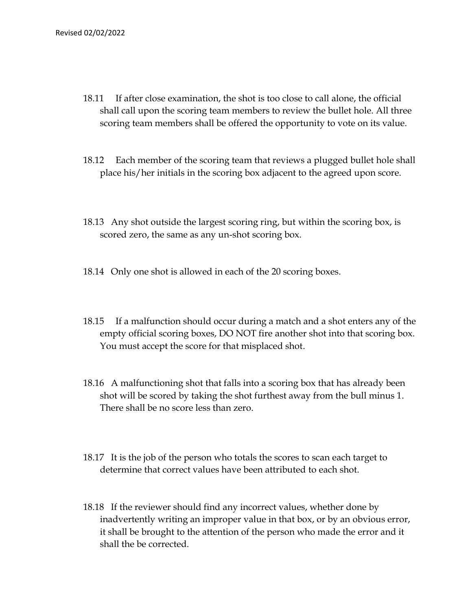- 02/02/2022<br>18.11 If after close examination, the shot is too close to call alone, the official<br>shall call upon the scoring team members to review the bullet hole. All three<br>scoring team members shall be offered the opport shall call upon the scoring team members to review the bullet hole. All three scoring team members shall be offered the opportunity to vote on its value. 18.11 If after close examination, the shot is too close to call alone, the official<br>
shall call upon the scoring team members to review the bullet hole. All three<br>
scoring team members shall be offered the opportunity to v 18.11 If after close examination, the shot is too close to call alone, the official<br>
18.11 after close examination, the shot is too close to call alone, the official<br>
18.12 Each members shall be offered the opportunity to 18.11 If after close examination, the shot is too close to call alone, the official<br>shall call upon the scoring team members to review the bullet hole. All three<br>scoring team members shall be offered the opportunity to vot
- place his/her initials in the scoring box adjacent to the agreed upon score.
- scored zero, the same as any un-shot scoring box.
- 
- 18.12 Each member of the scoring team that reviews a plugged bullet hole shall<br>place his/her initials in the scoring box adjacent to the agreed upon score.<br>18.13 Any shot outside the largest scoring ring, but within the sc empty official scoring boxes, DO NOT fire another shot into that scoring box. You must accept the score for that misplaced shot. 18.13 Any shot outside the largest scoring ring, but within the scoring box, is<br>scored zero, the same as any un-shot scoring box.<br>18.14 Only one shot is allowed in each of the 20 scoring boxes.<br>18.15 If a malfunction shoul 18.14 Only one shot is allowed in each of the 20 scoring boxes.<br>
18.15 If a malfunction should occur during a match and a shot enters any of the empty official scoring boxes, DO NOT fire another shot into that scoring box.
- shot will be scored by taking the shot furthest away from the bull minus 1. There shall be no score less than zero.
- determine that correct values have been attributed to each shot.
- 18.15 If a malfunction should occur during a match and a shot enters any of the empty official scoring boxes, DO NOT free another shot into that scoring box.<br>
You must accept the score for that misplaced shot.<br>
18.16 A mal inadvertently writing an improper value in that box, or by an obvious error, it shall be brought to the attention of the person who made the error and it shall the be corrected.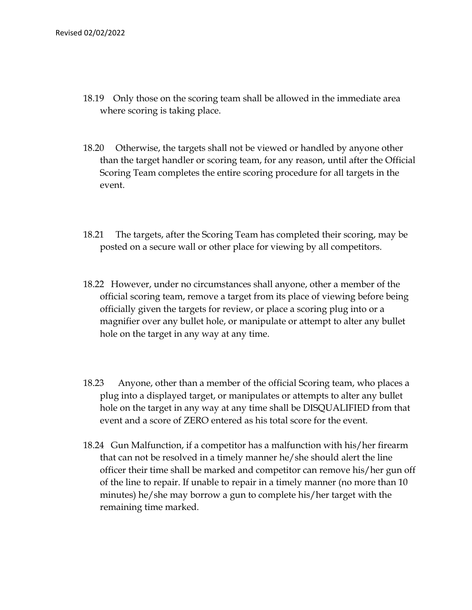- 18.19 Only those on the scoring team shall be allowed in the immediate area<br>where scoring is taking place.<br>18.20 Otherwise, the targets shall not be viewed or handled by anyone other where scoring is taking place.
- 18.19 Only those on the scoring team shall be allowed in the immediate area<br>where scoring is taking place.<br>18.20 Otherwise, the targets shall not be viewed or handled by anyone other<br>than the target handler or scoring team than the target handler or scoring team, for any reason, until after the Official Scoring Team completes the entire scoring procedure for all targets in the event. 18.19 Only those on the scoring team shall be allowed in the immediate area<br>where scoring is taking place.<br>
18.20 Otherwise, the targets shall not be viewed or handled by anyone other<br>
than the target handler or scoring te
- posted on a secure wall or other place for viewing by all competitors.
- 18.19 Only those on the scoring team shall be allowed in the immediate area<br>where scoring is taking place.<br>
18.20 Otherwise, the targets shall not be viewed or handled by anyone other<br>
than the target handler or scoring te official scoring team, remove a target from its place of viewing before being officially given the targets for review, or place a scoring plug into or a magnifier over any bullet hole, or manipulate or attempt to alter any bullet hole on the target in any way at any time. 18.21 The targets, after the Scoring Team has completed their scoring, may be posted on a secure wall or other place for viewing by all competitors.<br>
18.22 However, under no circumstances shall anyone, other a member of t
- plug into a displayed target, or manipulates or attempts to alter any bullet hole on the target in any way at any time shall be DISQUALIFIED from that event and a score of ZERO entered as his total score for the event.
- 18.22 However, under no circumstances shall anyone, other a member of the official scoring team, remove a target from its place of viewing before being officially given the targets for review, or place a scoring plug into that can not be resolved in a timely manner he/she should alert the line officer their time shall be marked and competitor can remove his/her gun off of the line to repair. If unable to repair in a timely manner (no more than 10 minutes) he/she may borrow a gun to complete his/her target with the remaining time marked.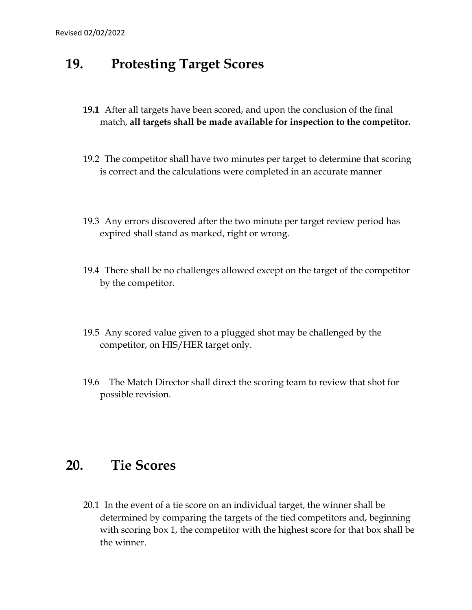- Saltisted 02/02/2022<br>
19. **Protesting Target Scores**<br>
19.1 After all targets have been scored, and upon the conclusion of the<br>
match. all targets shall be made available for inspection to the co 19.1 After all targets have been scored, and upon the conclusion of the final match, all targets shall be made available for inspection to the competitor.
	- 19.2 The competitor shall have two minutes per target to determine that scoring is correct and the calculations were completed in an accurate manner
	- 19.3 Any errors discovered after the two minute per target review period has expired shall stand as marked, right or wrong.
	- 19.4 There shall be no challenges allowed except on the target of the competitor by the competitor.
	- 19.5 Any scored value given to a plugged shot may be challenged by the competitor, on HIS/HER target only.
	- 19.6 The Match Director shall direct the scoring team to review that shot for possible revision.

by the competitor.<br>
19.5 Any scored value given to a plugged shot may be challenged by<br>
competitor, on HIS/HER target only.<br>
19.6 The Match Director shall direct the scoring team to review tha<br>
possible revision.<br>
20. Tie 20.1 In the event of a tie score on an individual target, the winner shall be determined by comparing the targets of the tied competitors and, beginning with scoring box 1, the competitor with the highest score for that box shall be the winner.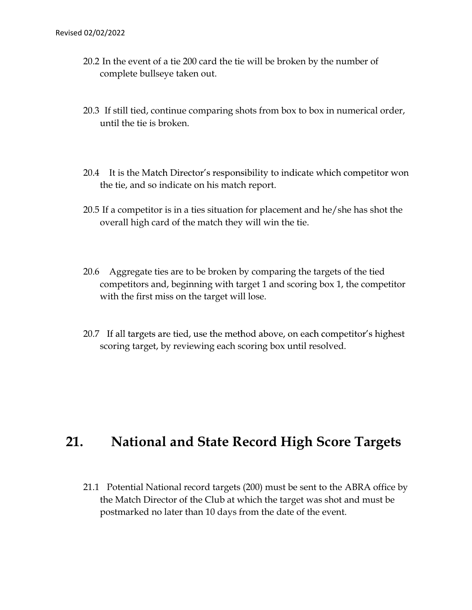- 20.2 In the event of a tie 200 card the tie will be broken by the number of<br>complete bullseye taken out.<br>20.3 If still tied, continue comparing shots from box to box in numerical order, complete bullseye taken out.
- 20.3 If still tied, continue comparing shots from box to box in numerical order, until the tie is broken.
- 20.4 It is the Match Director's responsibility to indicate which competitor won the tie, and so indicate on his match report.
- 20.5 If a competitor is in a ties situation for placement and he/she has shot the overall high card of the match they will win the tie.
- 20.6 Aggregate ties are to be broken by comparing the targets of the tied competitors and, beginning with target 1 and scoring box 1, the competitor with the first miss on the target will lose. 20.6 Aggregate ties are to be broken by comparing the targets of the tied<br>
competitors and, beginning with target 1 and scoring box 1, the competitor<br>
with the first miss on the target will lose.<br>
20.7 If all targets are t
	- 20.7 If all targets are tied, use the method above, on each competitor's highest scoring target, by reviewing each scoring box until resolved.

21.1 Potential National record targets (200) must be sent to the ABRA office by the Match Director of the Club at which the target was shot and must be postmarked no later than 10 days from the date of the event.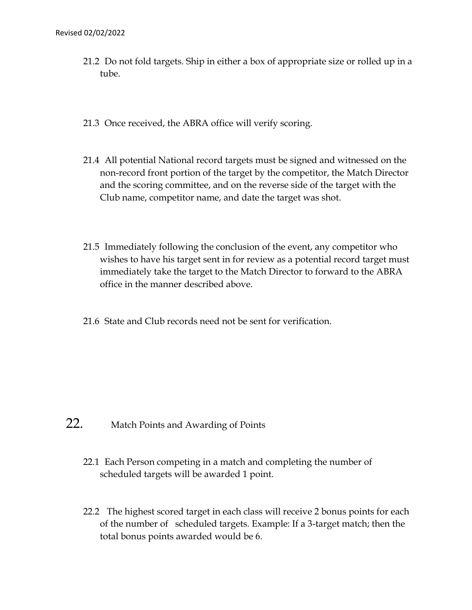- 02/02/2022<br>21.2 Do not fold targets. Ship in either a box of appropriate size or rolled up in a<br>tube. tube.
- 21.3 Once received, the ABRA office will verify scoring.
- 21.4 All potential National record targets must be signed and witnessed on the non-record front portion of the target by the competitor, the Match Director and the scoring committee, and on the reverse side of the target with the Club name, competitor name, and date the target was shot.
- 21.5 Immediately following the conclusion of the event, any competitor who wishes to have his target sent in for review as a potential record target must immediately take the target to the Match Director to forward to the ABRA office in the manner described above.
- 21.6 State and Club records need not be sent for verification.

# 22. Match Points and Awarding of Points

- 22.1 Each Person competing in a match and completing the number of scheduled targets will be awarded 1 point.
- 22.2 The highest scored target in each class will receive 2 bonus points for each of the number of scheduled targets. Example: If a 3-target match; then the total bonus points awarded would be 6.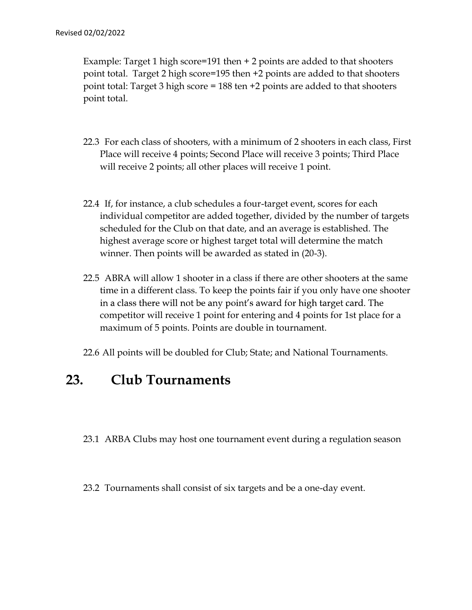Example: Target 1 high score=191 then + 2 points are added to that shooters point total. Target 2 high score=195 then +2 points are added to that shooters point total: Target 3 high score = 188 ten +2 points are added to that shooters point total.

- 22.3 For each class of shooters, with a minimum of 2 shooters in each class, First Place will receive 4 points; Second Place will receive 3 points; Third Place will receive 2 points; all other places will receive 1 point.
- 22.4 If, for instance, a club schedules a four-target event, scores for each individual competitor are added together, divided by the number of targets scheduled for the Club on that date, and an average is established. The highest average score or highest target total will determine the match winner. Then points will be awarded as stated in (20-3). 22.4 If, for instance, a club schedules a four-target event, scores for eindividual competitor are added together, divided by the numbescheduled for the Club on that date, and an average is establishe highest average score
	- 22.5 ABRA will allow 1 shooter in a class if there are other shooters at the same time in a different class. To keep the points fair if you only have one shooter competitor will receive 1 point for entering and 4 points for 1st place for a maximum of 5 points. Points are double in tournament.

22.6 All points will be doubled for Club; State; and National Tournaments.

- 23.1 ARBA Clubs may host one tournament event during a regulation season
- 23.2 Tournaments shall consist of six targets and be a one-day event.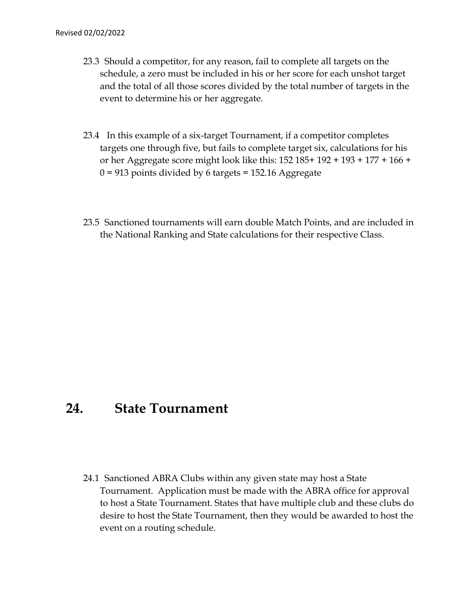- 02/02/2022<br>23.3 Should a competitor, for any reason, fail to complete all targets on the<br>schedule, a zero must be included in his or her score for each unshot target<br>and the total of all those scores divided by the total n schedule, a zero must be included in his or her score for each unshot target and the total of all those scores divided by the total number of targets in the event to determine his or her aggregate.
- 23.4 In this example of a six-target Tournament, if a competitor completes targets one through five, but fails to complete target six, calculations for his or her Aggregate score might look like this: 152 185+ 192 + 193 + 177 + 166 +  $0 = 913$  points divided by 6 targets = 152.16 Aggregate
- 23.5 Sanctioned tournaments will earn double Match Points, and are included in the National Ranking and State calculations for their respective Class. 23.5 Sanctioned tournaments will earn double Match Points, and are<br>the National Ranking and State calculations for their respective C<br>24. State Tournament

24.1 Sanctioned ABRA Clubs within any given state may host a State Tournament. Application must be made with the ABRA office for approval to host a State Tournament. States that have multiple club and these clubs do desire to host the State Tournament, then they would be awarded to host the event on a routing schedule.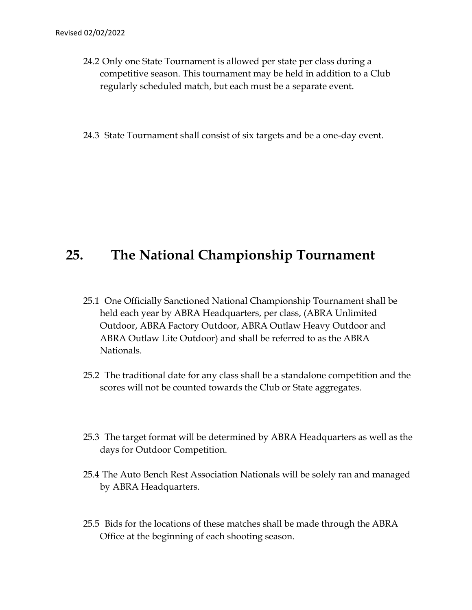- 02/02/2022<br>24.2 Only one State Tournament is allowed per state per class during a<br>competitive season. This tournament may be held in addition to a Club<br>regularly scheduled match, but each must be a separate event. competitive season. This tournament may be held in addition to a Club regularly scheduled match, but each must be a separate event. 25. Competitive season. This tournament may be held in addition to a Club<br>regularly scheduled match, but each must be a separate event.<br>24.3 State Tournament shall consist of six targets and be a one-day event.<br>25. **The Na** 
	- 24.3 State Tournament shall consist of six targets and be a one-day event.

- 25.1 One Officially Sanctioned National Championship Tournament shall be held each year by ABRA Headquarters, per class, (ABRA Unlimited Outdoor, ABRA Factory Outdoor, ABRA Outlaw Heavy Outdoor and ABRA Outlaw Lite Outdoor) and shall be referred to as the ABRA Nationals.
- 25.2 The traditional date for any class shall be a standalone competition and the scores will not be counted towards the Club or State aggregates.
- 25.3 The target format will be determined by ABRA Headquarters as well as the days for Outdoor Competition.
- 25.4 The Auto Bench Rest Association Nationals will be solely ran and managed by ABRA Headquarters.
- 25.5 Bids for the locations of these matches shall be made through the ABRA Office at the beginning of each shooting season.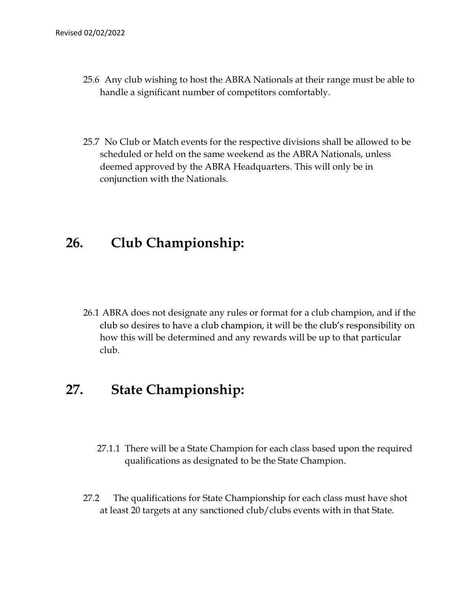- 25.6 Any club wishing to host the ABRA Nationals at their range must be able to handle a significant number of competitors comfortably.
- 25.7 No Club or Match events for the respective divisions shall be allowed to be scheduled or held on the same weekend as the ABRA Nationals, unless deemed approved by the ABRA Headquarters. This will only be in conjunction with the Nationals. 25.6 Any club wishing to host the ABRA Nationals at their range m<br>handle a significant number of competitors comfortably.<br>25.7 No Club or Match events for the respective divisions shall be al<br>scheduled or held on the same

26.1 ABRA does not designate any rules or format for a club champion, and if the how this will be determined and any rewards will be up to that particular club. **26.** Club Championship:<br>
26.1 ABRA does not designate any rules or format for a club champic<br>
club so desires to have a club champion, it will be the club's resp<br>
how this will be determined and any rewards will be up to 27.1.1 There will be a State Champion, it will be the club shampion, and if the club so desires to have a club champion, it will be the club's responsibility on how this will be determined and any rewards will be up to tha

- qualifications as designated to be the State Champion.
- 27.2 The qualifications for State Championship for each class must have shot at least 20 targets at any sanctioned club/clubs events with in that State.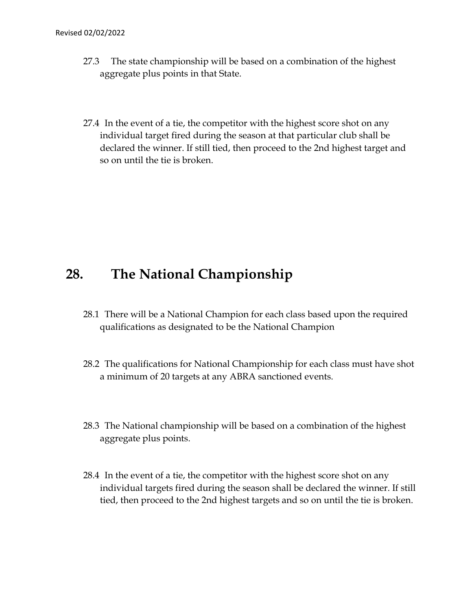## Revised 02/02/2022

- 02/02/2022<br>27.3 The state championship will be based on a combination of the highest<br>aggregate plus points in that State. aggregate plus points in that State.
- 27.4 In the event of a tie, the competitor with the highest score shot on any individual target fired during the season at that particular club shall be declared the winner. If still tied, then proceed to the 2nd highest target and so on until the tie is broken. 27.4 In the event of a tie, the competitor with the highest score shot on any<br>individual target fired during the season at that particular club shall be<br>declared the winner. If still tied, then proceed to the 2nd highest t

- 28.1 There will be a National Champion for each class based upon the required qualifications as designated to be the National Champion
- 28.2 The qualifications for National Championship for each class must have shot a minimum of 20 targets at any ABRA sanctioned events.
- 28.3 The National championship will be based on a combination of the highest aggregate plus points.
- 28.4 In the event of a tie, the competitor with the highest score shot on any individual targets fired during the season shall be declared the winner. If still tied, then proceed to the 2nd highest targets and so on until the tie is broken.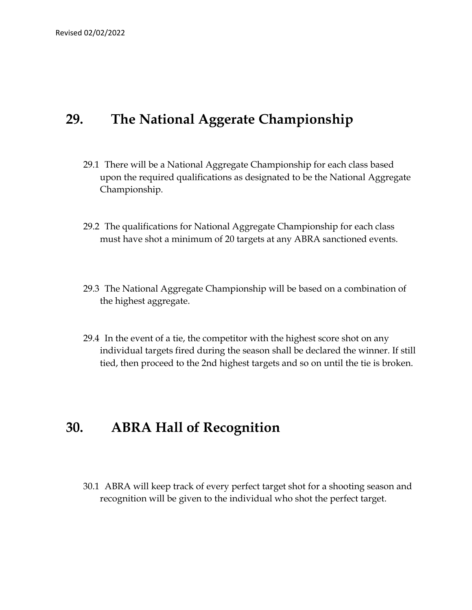- Sised 02/02/2022<br>
29. The National Aggerate Championship<br>
29.1 There will be a National Aggregate Championship for each class based<br>
upon the required qualifications as designated to be the National Aggregate 29.1 There will be a National Aggregate Championship for each class based upon the required qualifications as designated to be the National Aggregate Championship.
	- 29.2 The qualifications for National Aggregate Championship for each class must have shot a minimum of 20 targets at any ABRA sanctioned events.
	- 29.3 The National Aggregate Championship will be based on a combination of the highest aggregate.
- 29.4 In the event of a tie, the competitor with the highest score shot on any individual targets fired during the season shall be declared the winner. If still tied, then proceed to the 2nd highest targets and so on until the tie is broken. must have shot a minimum of 20 targets at any ABRA sanctioned events.<br>
29.3 The National Aggregate Championship will be based on a combination of<br>
the highest aggregate.<br>
29.4 In the event of a tie, the competitor with the

30.1 ABRA will keep track of every perfect target shot for a shooting season and recognition will be given to the individual who shot the perfect target.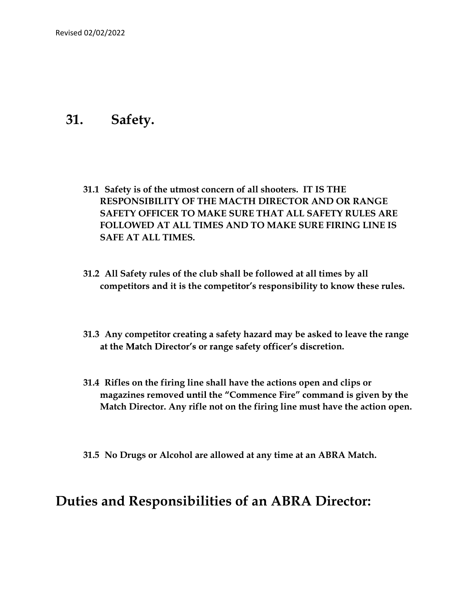# ised 02/02/2022<br>31. Safety.

- 31.1 Safety is of the utmost concern of all shooters. IT IS THE RESPONSIBILITY OF THE MACTH DIRECTOR AND OR RANGE SAFETY OFFICER TO MAKE SURE THAT ALL SAFETY RULES ARE FOLLOWED AT ALL TIMES AND TO MAKE SURE FIRING LINE IS SAFE AT ALL TIMES.
- 31.2 All Safety rules of the club shall be followed at all times by all competitors and it is the competitor's responsibility to know these rules.
- 31.3 Any competitor creating a safety hazard may be asked to leave the range at the Match Director's or range safety officer's discretion.
- 31.4 Rifles on the firing line shall have the actions open and clips or magazines removed until the "Commence Fire" command is given by the Match Director. Any rifle not on the firing line must have the action open.
- 31.5 No Drugs or Alcohol are allowed at any time at an ABRA Match.

# Duties and Responsibilities of an ABRA Director: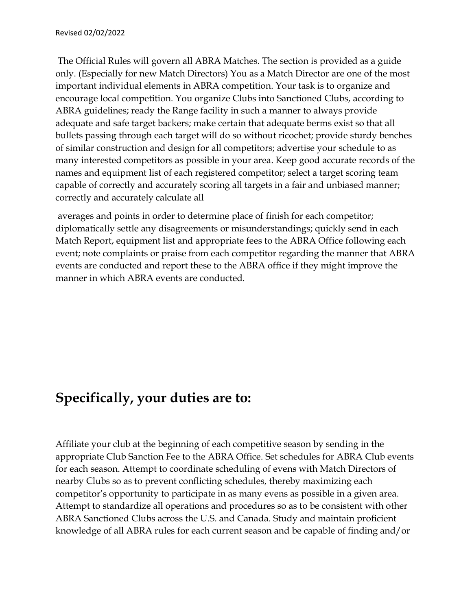The Official Rules will govern all ABRA Matches. The section is provided as a guide only. (Especially for new Match Directors) You as a Match Director are one of the most important individual elements in ABRA competition. Your task is to organize and encourage local competition. You organize Clubs into Sanctioned Clubs, according to ABRA guidelines; ready the Range facility in such a manner to always provide adequate and safe target backers; make certain that adequate berms exist so that all bullets passing through each target will do so without ricochet; provide sturdy benches of similar construction and design for all competitors; advertise your schedule to as many interested competitors as possible in your area. Keep good accurate records of the names and equipment list of each registered competitor; select a target scoring team capable of correctly and accurately scoring all targets in a fair and unbiased manner; correctly and accurately calculate all

 averages and points in order to determine place of finish for each competitor; diplomatically settle any disagreements or misunderstandings; quickly send in each Match Report, equipment list and appropriate fees to the ABRA Office following each event; note complaints or praise from each competitor regarding the manner that ABRA events are conducted and report these to the ABRA office if they might improve the manner in which ABRA events are conducted.

# Specifically, your duties are to:

Affiliate your club at the beginning of each competitive season by sending in the appropriate Club Sanction Fee to the ABRA Office. Set schedules for ABRA Club events for each season. Attempt to coordinate scheduling of evens with Match Directors of nearby Clubs so as to prevent conflicting schedules, thereby maximizing each competitor's opportunity to participate in as many evens as possible in a given area. Attempt to standardize all operations and procedures so as to be consistent with other ABRA Sanctioned Clubs across the U.S. and Canada. Study and maintain proficient knowledge of all ABRA rules for each current season and be capable of finding and/or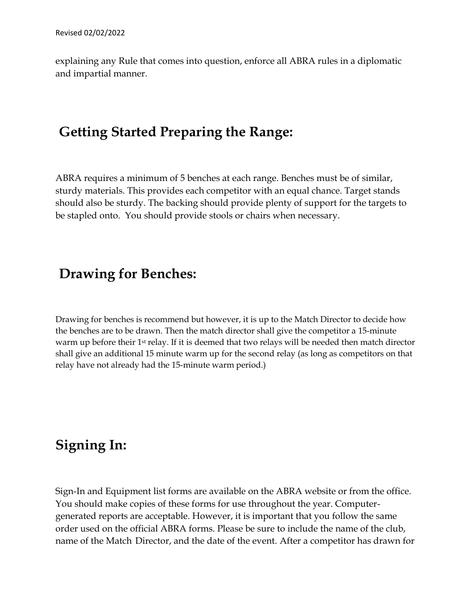explaining any Rule that comes into question, enforce all ABRA rules in a diplomatic and impartial manner.

# Getting Started Preparing the Range:

ABRA requires a minimum of 5 benches at each range. Benches must be of similar, sturdy materials. This provides each competitor with an equal chance. Target stands should also be sturdy. The backing should provide plenty of support for the targets to be stapled onto. You should provide stools or chairs when necessary.

# Drawing for Benches:

Drawing for benches is recommend but however, it is up to the Match Director to decide how the benches are to be drawn. Then the match director shall give the competitor a 15-minute warm up before their 1<sup>st</sup> relay. If it is deemed that two relays will be needed then match director shall give an additional 15 minute warm up for the second relay (as long as competitors on that relay have not already had the 15-minute warm period.)

# Signing In:

Sign-In and Equipment list forms are available on the ABRA website or from the office. You should make copies of these forms for use throughout the year. Computergenerated reports are acceptable. However, it is important that you follow the same order used on the official ABRA forms. Please be sure to include the name of the club, name of the Match Director, and the date of the event. After a competitor has drawn for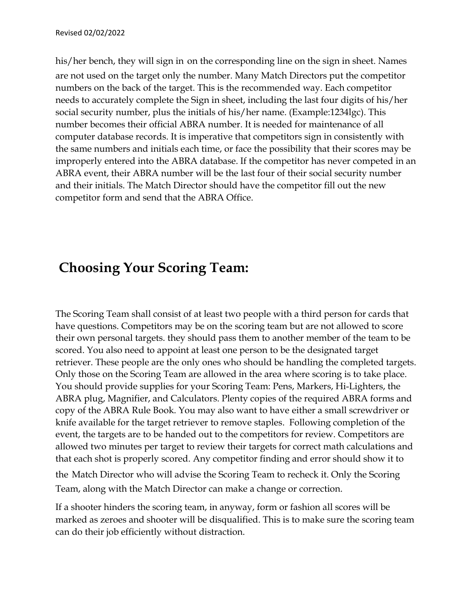his/her bench, they will sign in on the corresponding line on the sign in sheet. Names are not used on the target only the number. Many Match Directors put the competitor numbers on the back of the target. This is the recommended way. Each competitor needs to accurately complete the Sign in sheet, including the last four digits of his/her social security number, plus the initials of his/her name. (Example:1234lgc). This number becomes their official ABRA number. It is needed for maintenance of all computer database records. It is imperative that competitors sign in consistently with the same numbers and initials each time, or face the possibility that their scores may be improperly entered into the ABRA database. If the competitor has never competed in an ABRA event, their ABRA number will be the last four of their social security number and their initials. The Match Director should have the competitor fill out the new competitor form and send that the ABRA Office.

# Choosing Your Scoring Team:

The Scoring Team shall consist of at least two people with a third person for cards that have questions. Competitors may be on the scoring team but are not allowed to score their own personal targets. they should pass them to another member of the team to be scored. You also need to appoint at least one person to be the designated target retriever. These people are the only ones who should be handling the completed targets. Only those on the Scoring Team are allowed in the area where scoring is to take place. You should provide supplies for your Scoring Team: Pens, Markers, Hi-Lighters, the ABRA plug, Magnifier, and Calculators. Plenty copies of the required ABRA forms and copy of the ABRA Rule Book. You may also want to have either a small screwdriver or knife available for the target retriever to remove staples. Following completion of the event, the targets are to be handed out to the competitors for review. Competitors are allowed two minutes per target to review their targets for correct math calculations and that each shot is properly scored. Any competitor finding and error should show it to

the Match Director who will advise the Scoring Team to recheck it. Only the Scoring Team, along with the Match Director can make a change or correction.

If a shooter hinders the scoring team, in anyway, form or fashion all scores will be marked as zeroes and shooter will be disqualified. This is to make sure the scoring team can do their job efficiently without distraction.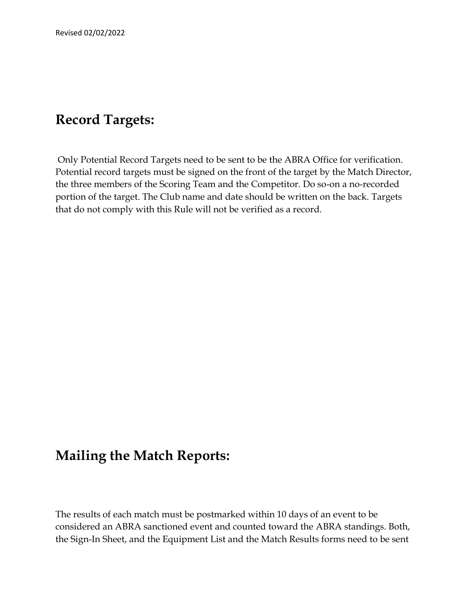# Record Targets:

 Only Potential Record Targets need to be sent to be the ABRA Office for verification. Potential record targets must be signed on the front of the target by the Match Director, the three members of the Scoring Team and the Competitor. Do so-on a no-recorded portion of the target. The Club name and date should be written on the back. Targets that do not comply with this Rule will not be verified as a record.

# Mailing the Match Reports:

The results of each match must be postmarked within 10 days of an event to be considered an ABRA sanctioned event and counted toward the ABRA standings. Both, the Sign-In Sheet, and the Equipment List and the Match Results forms need to be sent